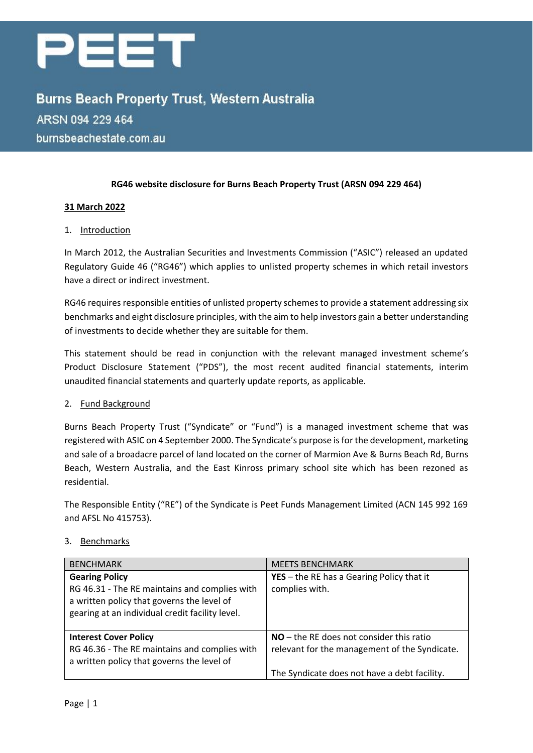

**Burns Beach Property Trust, Western Australia** ARSN 094 229 464 burnsbeachestate.com.au

### **RG46 website disclosure for Burns Beach Property Trust (ARSN 094 229 464)**

### **31 March 2022**

### 1. Introduction

In March 2012, the Australian Securities and Investments Commission ("ASIC") released an updated Regulatory Guide 46 ("RG46") which applies to unlisted property schemes in which retail investors have a direct or indirect investment.

RG46 requires responsible entities of unlisted property schemes to provide a statement addressing six benchmarks and eight disclosure principles, with the aim to help investors gain a better understanding of investments to decide whether they are suitable for them.

This statement should be read in conjunction with the relevant managed investment scheme's Product Disclosure Statement ("PDS"), the most recent audited financial statements, interim unaudited financial statements and quarterly update reports, as applicable.

#### 2. Fund Background

Burns Beach Property Trust ("Syndicate" or "Fund") is a managed investment scheme that was registered with ASIC on 4 September 2000. The Syndicate's purpose is for the development, marketing and sale of a broadacre parcel of land located on the corner of Marmion Ave & Burns Beach Rd, Burns Beach, Western Australia, and the East Kinross primary school site which has been rezoned as residential.

The Responsible Entity ("RE") of the Syndicate is Peet Funds Management Limited (ACN 145 992 169 and AFSL No 415753).

#### 3. Benchmarks

| <b>BENCHMARK</b>                                                                                                                                                        | <b>MEETS BENCHMARK</b>                                                                      |
|-------------------------------------------------------------------------------------------------------------------------------------------------------------------------|---------------------------------------------------------------------------------------------|
| <b>Gearing Policy</b><br>RG 46.31 - The RE maintains and complies with<br>a written policy that governs the level of<br>gearing at an individual credit facility level. | YES - the RE has a Gearing Policy that it<br>complies with.                                 |
| <b>Interest Cover Policy</b><br>RG 46.36 - The RE maintains and complies with<br>a written policy that governs the level of                                             | $NO$ – the RE does not consider this ratio<br>relevant for the management of the Syndicate. |
|                                                                                                                                                                         | The Syndicate does not have a debt facility.                                                |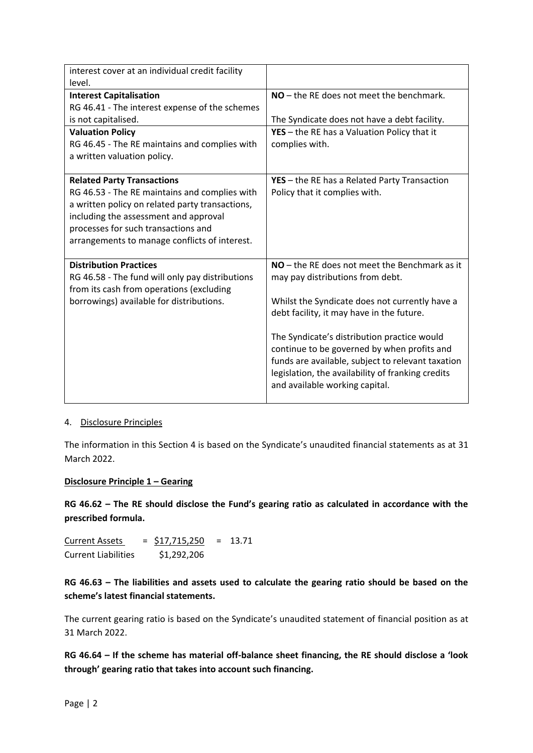| interest cover at an individual credit facility |                                                   |
|-------------------------------------------------|---------------------------------------------------|
| level.                                          |                                                   |
| <b>Interest Capitalisation</b>                  | NO - the RE does not meet the benchmark.          |
| RG 46.41 - The interest expense of the schemes  |                                                   |
| is not capitalised.                             | The Syndicate does not have a debt facility.      |
| <b>Valuation Policy</b>                         | YES - the RE has a Valuation Policy that it       |
| RG 46.45 - The RE maintains and complies with   | complies with.                                    |
| a written valuation policy.                     |                                                   |
| <b>Related Party Transactions</b>               | YES - the RE has a Related Party Transaction      |
| RG 46.53 - The RE maintains and complies with   | Policy that it complies with.                     |
| a written policy on related party transactions, |                                                   |
| including the assessment and approval           |                                                   |
| processes for such transactions and             |                                                   |
| arrangements to manage conflicts of interest.   |                                                   |
| <b>Distribution Practices</b>                   | $NO$ – the RE does not meet the Benchmark as it   |
| RG 46.58 - The fund will only pay distributions | may pay distributions from debt.                  |
| from its cash from operations (excluding        |                                                   |
| borrowings) available for distributions.        | Whilst the Syndicate does not currently have a    |
|                                                 | debt facility, it may have in the future.         |
|                                                 | The Syndicate's distribution practice would       |
|                                                 | continue to be governed by when profits and       |
|                                                 | funds are available, subject to relevant taxation |
|                                                 | legislation, the availability of franking credits |
|                                                 | and available working capital.                    |
|                                                 |                                                   |

#### 4. Disclosure Principles

The information in this Section 4 is based on the Syndicate's unaudited financial statements as at 31 March 2022.

### **Disclosure Principle 1 – Gearing**

**RG 46.62 – The RE should disclose the Fund's gearing ratio as calculated in accordance with the prescribed formula.**

Current Assets =  $$17,715,250$  = 13.71 Current Liabilities \$1,292,206

**RG 46.63 – The liabilities and assets used to calculate the gearing ratio should be based on the scheme's latest financial statements.**

The current gearing ratio is based on the Syndicate's unaudited statement of financial position as at 31 March 2022.

**RG 46.64 – If the scheme has material off-balance sheet financing, the RE should disclose a 'look through' gearing ratio that takes into account such financing.**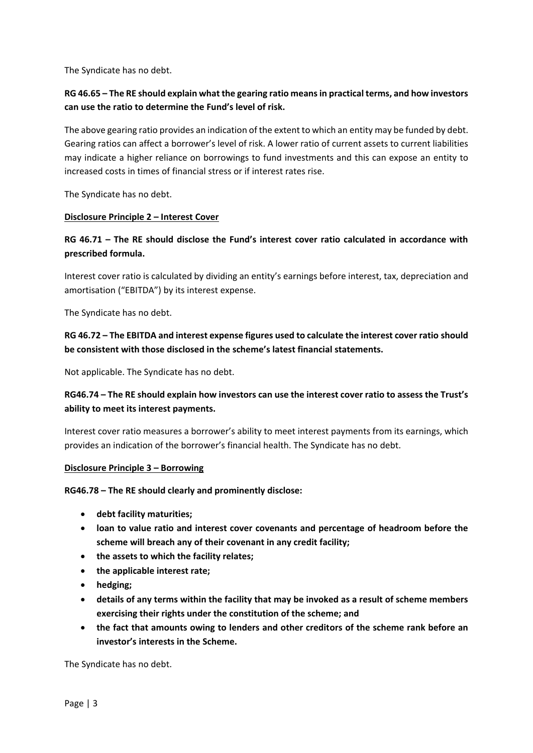The Syndicate has no debt.

# **RG 46.65 – The RE should explain what the gearing ratio means in practical terms, and how investors can use the ratio to determine the Fund's level of risk.**

The above gearing ratio provides an indication of the extent to which an entity may be funded by debt. Gearing ratios can affect a borrower's level of risk. A lower ratio of current assets to current liabilities may indicate a higher reliance on borrowings to fund investments and this can expose an entity to increased costs in times of financial stress or if interest rates rise.

The Syndicate has no debt.

### **Disclosure Principle 2 – Interest Cover**

## **RG 46.71 – The RE should disclose the Fund's interest cover ratio calculated in accordance with prescribed formula.**

Interest cover ratio is calculated by dividing an entity's earnings before interest, tax, depreciation and amortisation ("EBITDA") by its interest expense.

The Syndicate has no debt.

# **RG 46.72 – The EBITDA and interest expense figures used to calculate the interest cover ratio should be consistent with those disclosed in the scheme's latest financial statements.**

Not applicable. The Syndicate has no debt.

## **RG46.74 – The RE should explain how investors can use the interest cover ratio to assess the Trust's ability to meet its interest payments.**

Interest cover ratio measures a borrower's ability to meet interest payments from its earnings, which provides an indication of the borrower's financial health. The Syndicate has no debt.

#### **Disclosure Principle 3 – Borrowing**

**RG46.78 – The RE should clearly and prominently disclose:**

- **debt facility maturities;**
- **loan to value ratio and interest cover covenants and percentage of headroom before the scheme will breach any of their covenant in any credit facility;**
- **the assets to which the facility relates;**
- **the applicable interest rate;**
- **hedging;**
- **details of any terms within the facility that may be invoked as a result of scheme members exercising their rights under the constitution of the scheme; and**
- **the fact that amounts owing to lenders and other creditors of the scheme rank before an investor's interests in the Scheme.**

The Syndicate has no debt.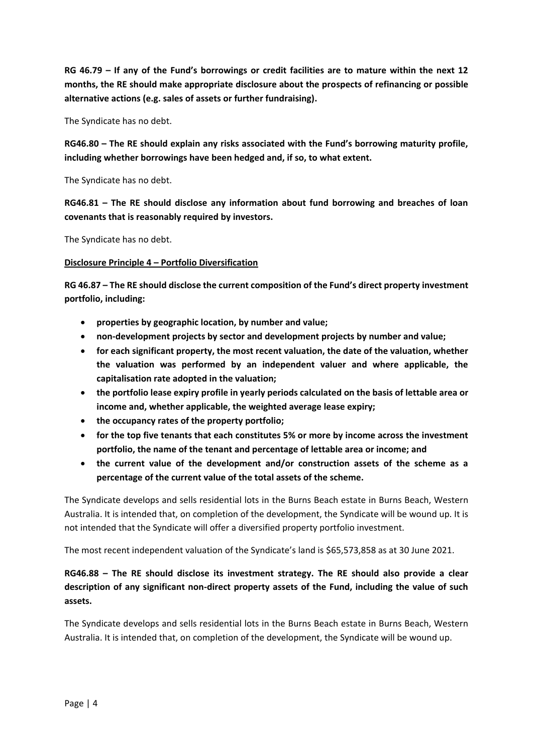**RG 46.79 – If any of the Fund's borrowings or credit facilities are to mature within the next 12 months, the RE should make appropriate disclosure about the prospects of refinancing or possible alternative actions (e.g. sales of assets or further fundraising).**

The Syndicate has no debt.

**RG46.80 – The RE should explain any risks associated with the Fund's borrowing maturity profile, including whether borrowings have been hedged and, if so, to what extent.**

The Syndicate has no debt.

**RG46.81 – The RE should disclose any information about fund borrowing and breaches of loan covenants that is reasonably required by investors.**

The Syndicate has no debt.

### **Disclosure Principle 4 – Portfolio Diversification**

**RG 46.87 – The RE should disclose the current composition of the Fund's direct property investment portfolio, including:**

- **properties by geographic location, by number and value;**
- **non-development projects by sector and development projects by number and value;**
- **for each significant property, the most recent valuation, the date of the valuation, whether the valuation was performed by an independent valuer and where applicable, the capitalisation rate adopted in the valuation;**
- **the portfolio lease expiry profile in yearly periods calculated on the basis of lettable area or income and, whether applicable, the weighted average lease expiry;**
- **the occupancy rates of the property portfolio;**
- **for the top five tenants that each constitutes 5% or more by income across the investment portfolio, the name of the tenant and percentage of lettable area or income; and**
- **the current value of the development and/or construction assets of the scheme as a percentage of the current value of the total assets of the scheme.**

The Syndicate develops and sells residential lots in the Burns Beach estate in Burns Beach, Western Australia. It is intended that, on completion of the development, the Syndicate will be wound up. It is not intended that the Syndicate will offer a diversified property portfolio investment.

The most recent independent valuation of the Syndicate's land is \$65,573,858 as at 30 June 2021.

# **RG46.88 – The RE should disclose its investment strategy. The RE should also provide a clear description of any significant non-direct property assets of the Fund, including the value of such assets.**

The Syndicate develops and sells residential lots in the Burns Beach estate in Burns Beach, Western Australia. It is intended that, on completion of the development, the Syndicate will be wound up.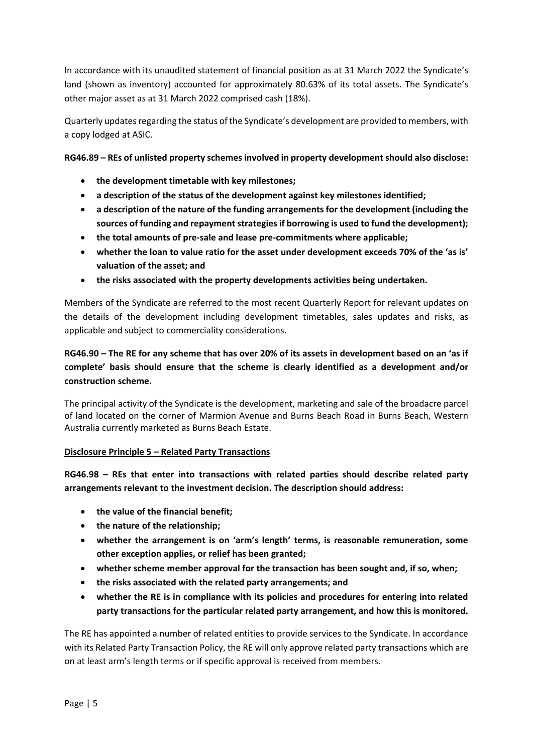In accordance with its unaudited statement of financial position as at 31 March 2022 the Syndicate's land (shown as inventory) accounted for approximately 80.63% of its total assets. The Syndicate's other major asset as at 31 March 2022 comprised cash (18%).

Quarterly updates regarding the status of the Syndicate's development are provided to members, with a copy lodged at ASIC.

**RG46.89 – REs of unlisted property schemes involved in property development should also disclose:**

- **the development timetable with key milestones;**
- **a description of the status of the development against key milestones identified;**
- **a description of the nature of the funding arrangements for the development (including the sources of funding and repayment strategies if borrowing is used to fund the development);**
- **the total amounts of pre-sale and lease pre-commitments where applicable;**
- **whether the loan to value ratio for the asset under development exceeds 70% of the 'as is' valuation of the asset; and**
- **the risks associated with the property developments activities being undertaken.**

Members of the Syndicate are referred to the most recent Quarterly Report for relevant updates on the details of the development including development timetables, sales updates and risks, as applicable and subject to commerciality considerations.

# **RG46.90 – The RE for any scheme that has over 20% of its assets in development based on an 'as if complete' basis should ensure that the scheme is clearly identified as a development and/or construction scheme.**

The principal activity of the Syndicate is the development, marketing and sale of the broadacre parcel of land located on the corner of Marmion Avenue and Burns Beach Road in Burns Beach, Western Australia currently marketed as Burns Beach Estate.

#### **Disclosure Principle 5 – Related Party Transactions**

**RG46.98 – REs that enter into transactions with related parties should describe related party arrangements relevant to the investment decision. The description should address:**

- **the value of the financial benefit;**
- **the nature of the relationship;**
- **whether the arrangement is on 'arm's length' terms, is reasonable remuneration, some other exception applies, or relief has been granted;**
- **whether scheme member approval for the transaction has been sought and, if so, when;**
- **the risks associated with the related party arrangements; and**
- **whether the RE is in compliance with its policies and procedures for entering into related party transactions for the particular related party arrangement, and how this is monitored.**

The RE has appointed a number of related entities to provide services to the Syndicate. In accordance with its Related Party Transaction Policy, the RE will only approve related party transactions which are on at least arm's length terms or if specific approval is received from members.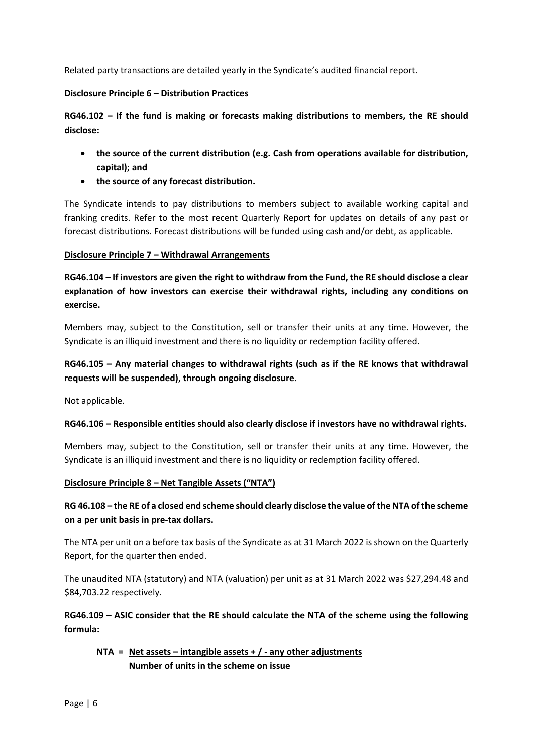Related party transactions are detailed yearly in the Syndicate's audited financial report.

#### **Disclosure Principle 6 – Distribution Practices**

**RG46.102 – If the fund is making or forecasts making distributions to members, the RE should disclose:**

- **the source of the current distribution (e.g. Cash from operations available for distribution, capital); and**
- **the source of any forecast distribution.**

The Syndicate intends to pay distributions to members subject to available working capital and franking credits. Refer to the most recent Quarterly Report for updates on details of any past or forecast distributions. Forecast distributions will be funded using cash and/or debt, as applicable.

### **Disclosure Principle 7 – Withdrawal Arrangements**

**RG46.104 – If investors are given the right to withdraw from the Fund, the RE should disclose a clear explanation of how investors can exercise their withdrawal rights, including any conditions on exercise.**

Members may, subject to the Constitution, sell or transfer their units at any time. However, the Syndicate is an illiquid investment and there is no liquidity or redemption facility offered.

# **RG46.105 – Any material changes to withdrawal rights (such as if the RE knows that withdrawal requests will be suspended), through ongoing disclosure.**

Not applicable.

### **RG46.106 – Responsible entities should also clearly disclose if investors have no withdrawal rights.**

Members may, subject to the Constitution, sell or transfer their units at any time. However, the Syndicate is an illiquid investment and there is no liquidity or redemption facility offered.

#### **Disclosure Principle 8 – Net Tangible Assets ("NTA")**

# **RG 46.108 – the RE of a closed end scheme should clearly disclose the value of the NTA of the scheme on a per unit basis in pre-tax dollars.**

The NTA per unit on a before tax basis of the Syndicate as at 31 March 2022 is shown on the Quarterly Report, for the quarter then ended.

The unaudited NTA (statutory) and NTA (valuation) per unit as at 31 March 2022 was \$27,294.48 and \$84,703.22 respectively.

**RG46.109 – ASIC consider that the RE should calculate the NTA of the scheme using the following formula:**

```
NTA = Net assets – intangible assets + / - any other adjustments
Number of units in the scheme on issue
```